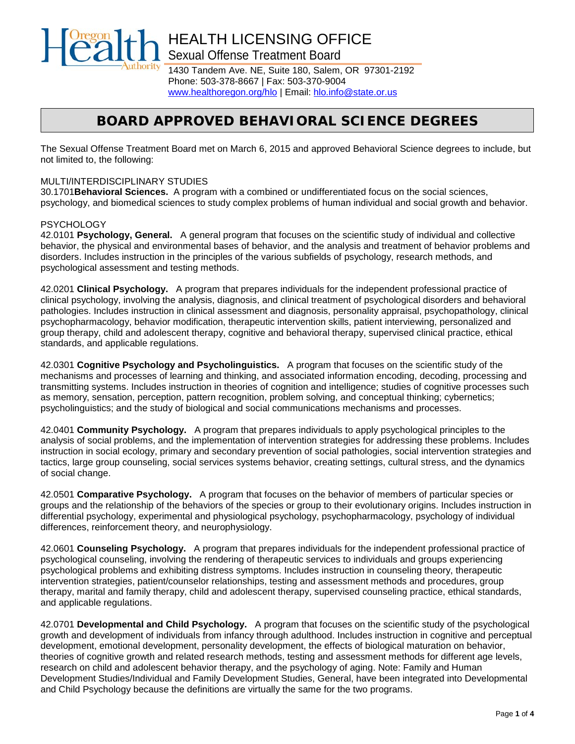

HEALTH LICENSING OFFICE Sexual Offense Treatment Board

1430 Tandem Ave. NE, Suite 180, Salem, OR 97301-2192 Phone: 503-378-8667 | Fax: 503-370-9004 [www.healthoregon.org/hlo](http://www.healthoregon.org/hlo) | Email: [hlo.info@state.or.us](mailto:hlo.info@state.or.us)

# *BOARD APPROVED BEHAVIORAL SCIENCE DEGREES*

The Sexual Offense Treatment Board met on March 6, 2015 and approved Behavioral Science degrees to include, but not limited to, the following:

#### MULTI/INTERDISCIPLINARY STUDIES

30.1701**Behavioral Sciences.** A program with a combined or undifferentiated focus on the social sciences, psychology, and biomedical sciences to study complex problems of human individual and social growth and behavior.

#### **PSYCHOLOGY**

42.0101 **Psychology, General.** A general program that focuses on the scientific study of individual and collective behavior, the physical and environmental bases of behavior, and the analysis and treatment of behavior problems and disorders. Includes instruction in the principles of the various subfields of psychology, research methods, and psychological assessment and testing methods.

42.0201 **Clinical Psychology.** A program that prepares individuals for the independent professional practice of clinical psychology, involving the analysis, diagnosis, and clinical treatment of psychological disorders and behavioral pathologies. Includes instruction in clinical assessment and diagnosis, personality appraisal, psychopathology, clinical psychopharmacology, behavior modification, therapeutic intervention skills, patient interviewing, personalized and group therapy, child and adolescent therapy, cognitive and behavioral therapy, supervised clinical practice, ethical standards, and applicable regulations.

42.0301 **Cognitive Psychology and Psycholinguistics.** A program that focuses on the scientific study of the mechanisms and processes of learning and thinking, and associated information encoding, decoding, processing and transmitting systems. Includes instruction in theories of cognition and intelligence; studies of cognitive processes such as memory, sensation, perception, pattern recognition, problem solving, and conceptual thinking; cybernetics; psycholinguistics; and the study of biological and social communications mechanisms and processes.

42.0401 **Community Psychology.** A program that prepares individuals to apply psychological principles to the analysis of social problems, and the implementation of intervention strategies for addressing these problems. Includes instruction in social ecology, primary and secondary prevention of social pathologies, social intervention strategies and tactics, large group counseling, social services systems behavior, creating settings, cultural stress, and the dynamics of social change.

42.0501 **Comparative Psychology.** A program that focuses on the behavior of members of particular species or groups and the relationship of the behaviors of the species or group to their evolutionary origins. Includes instruction in differential psychology, experimental and physiological psychology, psychopharmacology, psychology of individual differences, reinforcement theory, and neurophysiology.

42.0601 **Counseling Psychology.** A program that prepares individuals for the independent professional practice of psychological counseling, involving the rendering of therapeutic services to individuals and groups experiencing psychological problems and exhibiting distress symptoms. Includes instruction in counseling theory, therapeutic intervention strategies, patient/counselor relationships, testing and assessment methods and procedures, group therapy, marital and family therapy, child and adolescent therapy, supervised counseling practice, ethical standards, and applicable regulations.

42.0701 **Developmental and Child Psychology.** A program that focuses on the scientific study of the psychological growth and development of individuals from infancy through adulthood. Includes instruction in cognitive and perceptual development, emotional development, personality development, the effects of biological maturation on behavior, theories of cognitive growth and related research methods, testing and assessment methods for different age levels, research on child and adolescent behavior therapy, and the psychology of aging. Note: Family and Human Development Studies/Individual and Family Development Studies, General, have been integrated into Developmental and Child Psychology because the definitions are virtually the same for the two programs.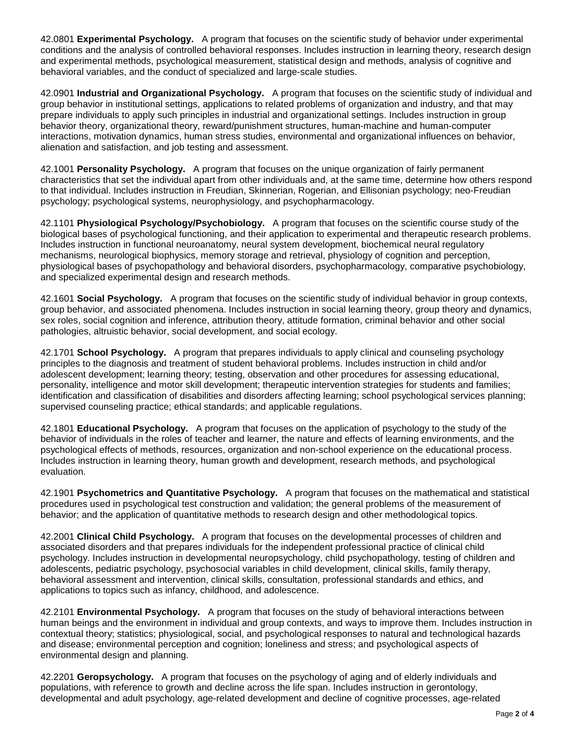42.0801 **Experimental Psychology.** A program that focuses on the scientific study of behavior under experimental conditions and the analysis of controlled behavioral responses. Includes instruction in learning theory, research design and experimental methods, psychological measurement, statistical design and methods, analysis of cognitive and behavioral variables, and the conduct of specialized and large-scale studies.

42.0901 **Industrial and Organizational Psychology.** A program that focuses on the scientific study of individual and group behavior in institutional settings, applications to related problems of organization and industry, and that may prepare individuals to apply such principles in industrial and organizational settings. Includes instruction in group behavior theory, organizational theory, reward/punishment structures, human-machine and human-computer interactions, motivation dynamics, human stress studies, environmental and organizational influences on behavior, alienation and satisfaction, and job testing and assessment.

42.1001 **Personality Psychology.** A program that focuses on the unique organization of fairly permanent characteristics that set the individual apart from other individuals and, at the same time, determine how others respond to that individual. Includes instruction in Freudian, Skinnerian, Rogerian, and Ellisonian psychology; neo-Freudian psychology; psychological systems, neurophysiology, and psychopharmacology.

42.1101 **Physiological Psychology/Psychobiology.** A program that focuses on the scientific course study of the biological bases of psychological functioning, and their application to experimental and therapeutic research problems. Includes instruction in functional neuroanatomy, neural system development, biochemical neural regulatory mechanisms, neurological biophysics, memory storage and retrieval, physiology of cognition and perception, physiological bases of psychopathology and behavioral disorders, psychopharmacology, comparative psychobiology, and specialized experimental design and research methods.

42.1601 **Social Psychology.** A program that focuses on the scientific study of individual behavior in group contexts, group behavior, and associated phenomena. Includes instruction in social learning theory, group theory and dynamics, sex roles, social cognition and inference, attribution theory, attitude formation, criminal behavior and other social pathologies, altruistic behavior, social development, and social ecology.

42.1701 **School Psychology.** A program that prepares individuals to apply clinical and counseling psychology principles to the diagnosis and treatment of student behavioral problems. Includes instruction in child and/or adolescent development; learning theory; testing, observation and other procedures for assessing educational, personality, intelligence and motor skill development; therapeutic intervention strategies for students and families; identification and classification of disabilities and disorders affecting learning; school psychological services planning; supervised counseling practice; ethical standards; and applicable regulations.

42.1801 **Educational Psychology.** A program that focuses on the application of psychology to the study of the behavior of individuals in the roles of teacher and learner, the nature and effects of learning environments, and the psychological effects of methods, resources, organization and non-school experience on the educational process. Includes instruction in learning theory, human growth and development, research methods, and psychological evaluation.

42.1901 **Psychometrics and Quantitative Psychology.** A program that focuses on the mathematical and statistical procedures used in psychological test construction and validation; the general problems of the measurement of behavior; and the application of quantitative methods to research design and other methodological topics.

42.2001 **Clinical Child Psychology.** A program that focuses on the developmental processes of children and associated disorders and that prepares individuals for the independent professional practice of clinical child psychology. Includes instruction in developmental neuropsychology, child psychopathology, testing of children and adolescents, pediatric psychology, psychosocial variables in child development, clinical skills, family therapy, behavioral assessment and intervention, clinical skills, consultation, professional standards and ethics, and applications to topics such as infancy, childhood, and adolescence.

42.2101 **Environmental Psychology.** A program that focuses on the study of behavioral interactions between human beings and the environment in individual and group contexts, and ways to improve them. Includes instruction in contextual theory; statistics; physiological, social, and psychological responses to natural and technological hazards and disease; environmental perception and cognition; loneliness and stress; and psychological aspects of environmental design and planning.

42.2201 **Geropsychology.** A program that focuses on the psychology of aging and of elderly individuals and populations, with reference to growth and decline across the life span. Includes instruction in gerontology, developmental and adult psychology, age-related development and decline of cognitive processes, age-related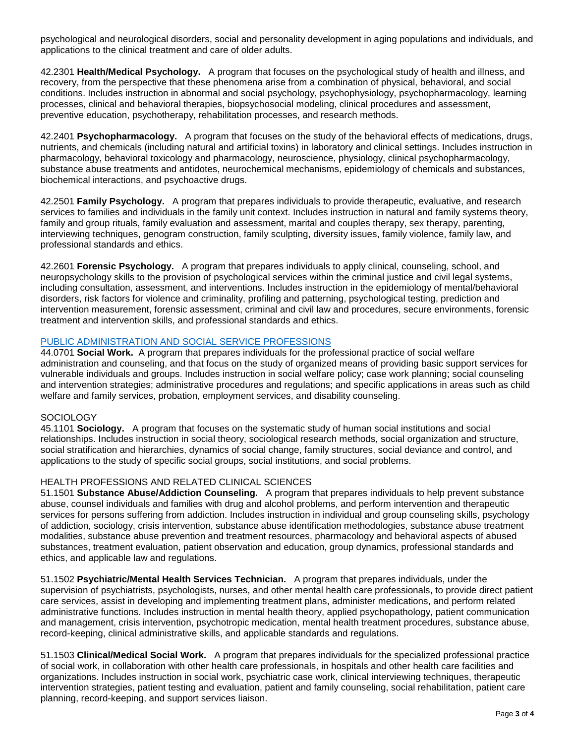psychological and neurological disorders, social and personality development in aging populations and individuals, and applications to the clinical treatment and care of older adults.

42.2301 **Health/Medical Psychology.** A program that focuses on the psychological study of health and illness, and recovery, from the perspective that these phenomena arise from a combination of physical, behavioral, and social conditions. Includes instruction in abnormal and social psychology, psychophysiology, psychopharmacology, learning processes, clinical and behavioral therapies, biopsychosocial modeling, clinical procedures and assessment, preventive education, psychotherapy, rehabilitation processes, and research methods.

42.2401 **Psychopharmacology.** A program that focuses on the study of the behavioral effects of medications, drugs, nutrients, and chemicals (including natural and artificial toxins) in laboratory and clinical settings. Includes instruction in pharmacology, behavioral toxicology and pharmacology, neuroscience, physiology, clinical psychopharmacology, substance abuse treatments and antidotes, neurochemical mechanisms, epidemiology of chemicals and substances, biochemical interactions, and psychoactive drugs.

42.2501 **Family Psychology.** A program that prepares individuals to provide therapeutic, evaluative, and research services to families and individuals in the family unit context. Includes instruction in natural and family systems theory, family and group rituals, family evaluation and assessment, marital and couples therapy, sex therapy, parenting, interviewing techniques, genogram construction, family sculpting, diversity issues, family violence, family law, and professional standards and ethics.

42.2601 **Forensic Psychology.** A program that prepares individuals to apply clinical, counseling, school, and neuropsychology skills to the provision of psychological services within the criminal justice and civil legal systems, including consultation, assessment, and interventions. Includes instruction in the epidemiology of mental/behavioral disorders, risk factors for violence and criminality, profiling and patterning, psychological testing, prediction and intervention measurement, forensic assessment, criminal and civil law and procedures, secure environments, forensic treatment and intervention skills, and professional standards and ethics.

### [PUBLIC ADMINISTRATION AND SOCIAL SERVICE PROFESSIONS](http://nces.ed.gov/ipeds/cipcode/cipdetail.aspx?y=55&cipid=88556)

44.0701 **Social Work.** A program that prepares individuals for the professional practice of social welfare administration and counseling, and that focus on the study of organized means of providing basic support services for vulnerable individuals and groups. Includes instruction in social welfare policy; case work planning; social counseling and intervention strategies; administrative procedures and regulations; and specific applications in areas such as child welfare and family services, probation, employment services, and disability counseling.

## **SOCIOLOGY**

45.1101 **Sociology.** A program that focuses on the systematic study of human social institutions and social relationships. Includes instruction in social theory, sociological research methods, social organization and structure, social stratification and hierarchies, dynamics of social change, family structures, social deviance and control, and applications to the study of specific social groups, social institutions, and social problems.

### HEALTH PROFESSIONS AND RELATED CLINICAL SCIENCES

51.1501 **Substance Abuse/Addiction Counseling.** A program that prepares individuals to help prevent substance abuse, counsel individuals and families with drug and alcohol problems, and perform intervention and therapeutic services for persons suffering from addiction. Includes instruction in individual and group counseling skills, psychology of addiction, sociology, crisis intervention, substance abuse identification methodologies, substance abuse treatment modalities, substance abuse prevention and treatment resources, pharmacology and behavioral aspects of abused substances, treatment evaluation, patient observation and education, group dynamics, professional standards and ethics, and applicable law and regulations.

51.1502 **Psychiatric/Mental Health Services Technician.** A program that prepares individuals, under the supervision of psychiatrists, psychologists, nurses, and other mental health care professionals, to provide direct patient care services, assist in developing and implementing treatment plans, administer medications, and perform related administrative functions. Includes instruction in mental health theory, applied psychopathology, patient communication and management, crisis intervention, psychotropic medication, mental health treatment procedures, substance abuse, record-keeping, clinical administrative skills, and applicable standards and regulations.

51.1503 **Clinical/Medical Social Work.** A program that prepares individuals for the specialized professional practice of social work, in collaboration with other health care professionals, in hospitals and other health care facilities and organizations. Includes instruction in social work, psychiatric case work, clinical interviewing techniques, therapeutic intervention strategies, patient testing and evaluation, patient and family counseling, social rehabilitation, patient care planning, record-keeping, and support services liaison.